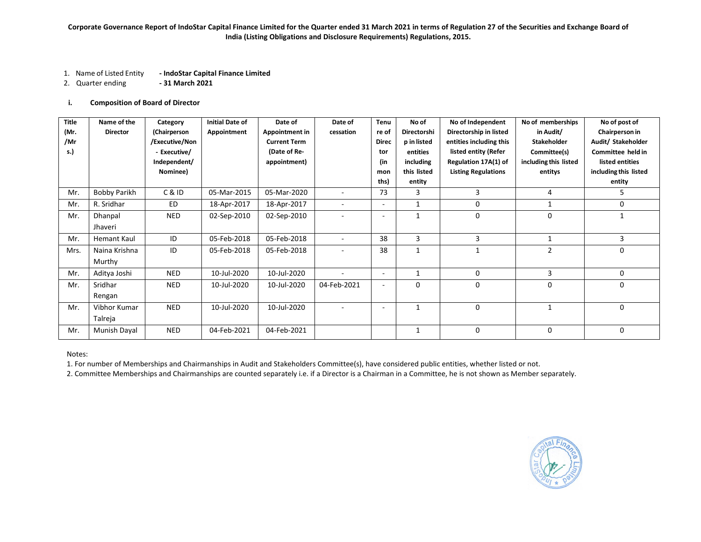- 1. Name of Listed Entity **- IndoStar Capital Finance Limited**
- 2. Quarter ending **- 31 March 2021**

## **i. Composition of Board of Director**

| <b>Title</b> | Name of the         | Category       | <b>Initial Date of</b> | Date of             | Date of                  | Tenu                     | No of          | No of Independent          | No of memberships     | No of post of         |
|--------------|---------------------|----------------|------------------------|---------------------|--------------------------|--------------------------|----------------|----------------------------|-----------------------|-----------------------|
| (Mr.         | <b>Director</b>     | (Chairperson   | Appointment            | Appointment in      | cessation                | re of                    | Directorshi    | Directorship in listed     | in Audit/             | Chairperson in        |
| /Mr          |                     | /Executive/Non |                        | <b>Current Term</b> |                          | <b>Direc</b>             | p in listed    | entities including this    | <b>Stakeholder</b>    | Audit/ Stakeholder    |
| s.)          |                     | - Executive/   |                        | (Date of Re-        |                          | tor                      | entities       | listed entity (Refer       | Committee(s)          | Committee held in     |
|              |                     | Independent/   |                        | appointment)        |                          | (in                      | including      | Regulation 17A(1) of       | including this listed | listed entities       |
|              |                     | Nominee)       |                        |                     |                          | mon                      | this listed    | <b>Listing Regulations</b> | entitys               | including this listed |
|              |                     |                |                        |                     |                          | ths)                     | entity         |                            |                       | entity                |
| Mr.          | <b>Bobby Parikh</b> | C & ID         | 05-Mar-2015            | 05-Mar-2020         | $\overline{\phantom{a}}$ | 73                       | 3              | 3                          | 4                     | 5                     |
| Mr.          | R. Sridhar          | ED             | 18-Apr-2017            | 18-Apr-2017         |                          | ٠                        | $\mathbf{1}$   | 0                          |                       | 0                     |
| Mr.          | Dhanpal             | <b>NED</b>     | 02-Sep-2010            | 02-Sep-2010         |                          | -                        | $\mathbf{1}$   | 0                          | $\Omega$              |                       |
|              | Jhaveri             |                |                        |                     |                          |                          |                |                            |                       |                       |
| Mr.          | <b>Hemant Kaul</b>  | ID             | 05-Feb-2018            | 05-Feb-2018         |                          | 38                       | 3              | 3                          | 1                     | 3                     |
| Mrs.         | Naina Krishna       | ID             | 05-Feb-2018            | 05-Feb-2018         |                          | 38                       | $\overline{1}$ |                            | $\mathfrak{p}$        | $\Omega$              |
|              | Murthy              |                |                        |                     |                          |                          |                |                            |                       |                       |
| Mr.          | Aditya Joshi        | <b>NED</b>     | 10-Jul-2020            | 10-Jul-2020         |                          | $\overline{\phantom{a}}$ | $\mathbf{1}$   | 0                          | 3                     | 0                     |
| Mr.          | Sridhar             | <b>NED</b>     | 10-Jul-2020            | 10-Jul-2020         | 04-Feb-2021              | ٠                        | $\mathbf 0$    | 0                          | $\Omega$              | $\Omega$              |
|              | Rengan              |                |                        |                     |                          |                          |                |                            |                       |                       |
| Mr.          | Vibhor Kumar        | <b>NED</b>     | 10-Jul-2020            | 10-Jul-2020         |                          | ۰                        | $\mathbf{1}$   | $\mathbf 0$                |                       | 0                     |
|              | Talreja             |                |                        |                     |                          |                          |                |                            |                       |                       |
| Mr.          | Munish Dayal        | <b>NED</b>     | 04-Feb-2021            | 04-Feb-2021         |                          |                          | 1              | $\mathbf 0$                | $\Omega$              | 0                     |

#### Notes:

1. For number of Memberships and Chairmanships in Audit and Stakeholders Committee(s), have considered public entities, whether listed or not.

2. Committee Memberships and Chairmanships are counted separately i.e. if a Director is a Chairman in a Committee, he is not shown as Member separately.

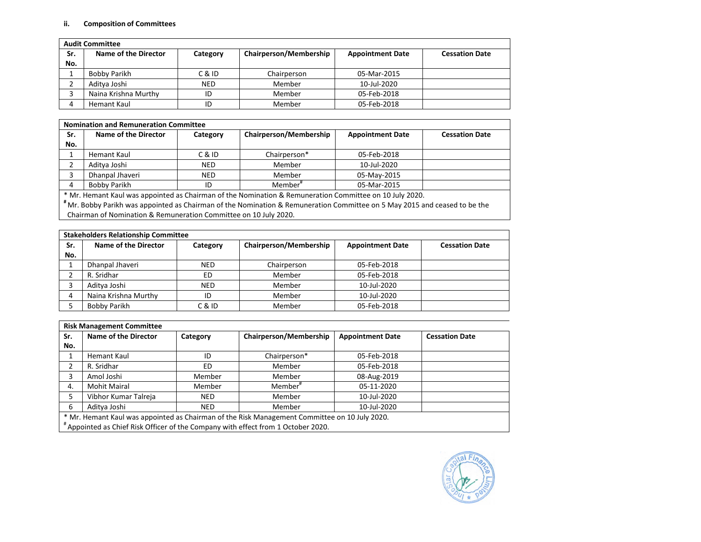## **ii. Composition of Committees**

|     | <b>Audit Committee</b> |            |                        |                         |                       |
|-----|------------------------|------------|------------------------|-------------------------|-----------------------|
| Sr. | Name of the Director   | Category   | Chairperson/Membership | <b>Appointment Date</b> | <b>Cessation Date</b> |
| No. |                        |            |                        |                         |                       |
|     | Bobby Parikh           | C & ID     | Chairperson            | 05-Mar-2015             |                       |
|     | Aditya Joshi           | <b>NED</b> | Member                 | 10-Jul-2020             |                       |
|     | Naina Krishna Murthy   | ID         | Member                 | 05-Feb-2018             |                       |
|     | Hemant Kaul            | ID         | Member                 | 05-Feb-2018             |                       |

|     | <b>Nomination and Remuneration Committee</b>                     |            |                                                                                                                           |                         |                       |  |  |
|-----|------------------------------------------------------------------|------------|---------------------------------------------------------------------------------------------------------------------------|-------------------------|-----------------------|--|--|
| Sr. | Name of the Director                                             | Category   | Chairperson/Membership                                                                                                    | <b>Appointment Date</b> | <b>Cessation Date</b> |  |  |
| No. |                                                                  |            |                                                                                                                           |                         |                       |  |  |
|     | Hemant Kaul                                                      | C & ID     | Chairperson*                                                                                                              | 05-Feb-2018             |                       |  |  |
| 2   | Aditya Joshi                                                     | <b>NED</b> | Member                                                                                                                    | 10-Jul-2020             |                       |  |  |
| 3   | Dhanpal Jhaveri                                                  | <b>NED</b> | Member                                                                                                                    | 05-May-2015             |                       |  |  |
| 4   | <b>Bobby Parikh</b>                                              | ID         | Member <sup>#</sup>                                                                                                       | 05-Mar-2015             |                       |  |  |
|     |                                                                  |            | * Mr. Hemant Kaul was appointed as Chairman of the Nomination & Remuneration Committee on 10 July 2020.                   |                         |                       |  |  |
|     |                                                                  |            | "Mr. Bobby Parikh was appointed as Chairman of the Nomination & Remuneration Committee on 5 May 2015 and ceased to be the |                         |                       |  |  |
|     | Chairman of Nomination & Remuneration Committee on 10 July 2020. |            |                                                                                                                           |                         |                       |  |  |

|     | <b>Stakeholders Relationship Committee</b> |            |                        |                         |                       |
|-----|--------------------------------------------|------------|------------------------|-------------------------|-----------------------|
| Sr. | Name of the Director                       | Category   | Chairperson/Membership | <b>Appointment Date</b> | <b>Cessation Date</b> |
| No. |                                            |            |                        |                         |                       |
|     | Dhanpal Jhaveri                            | <b>NED</b> | Chairperson            | 05-Feb-2018             |                       |
|     | R. Sridhar                                 | ED         | Member                 | 05-Feb-2018             |                       |
|     | Aditya Joshi                               | <b>NED</b> | Member                 | 10-Jul-2020             |                       |
|     | Naina Krishna Murthy                       | ID         | Member                 | 10-Jul-2020             |                       |
|     | Bobby Parikh                               | C & ID     | Member                 | 05-Feb-2018             |                       |

|     | <b>Risk Management Committee</b>                                                 |            |                                                                                               |                         |                       |
|-----|----------------------------------------------------------------------------------|------------|-----------------------------------------------------------------------------------------------|-------------------------|-----------------------|
| Sr. | Name of the Director                                                             | Category   | Chairperson/Membership                                                                        | <b>Appointment Date</b> | <b>Cessation Date</b> |
| No. |                                                                                  |            |                                                                                               |                         |                       |
|     | Hemant Kaul                                                                      | ID         | Chairperson*                                                                                  | 05-Feb-2018             |                       |
| ኀ   | R. Sridhar                                                                       | ED.        | Member                                                                                        | 05-Feb-2018             |                       |
| 3   | Amol Joshi                                                                       | Member     | Member                                                                                        | 08-Aug-2019             |                       |
| 4.  | <b>Mohit Mairal</b>                                                              | Member     | Member <sup>#</sup>                                                                           | 05-11-2020              |                       |
|     | Vibhor Kumar Talreja                                                             | <b>NED</b> | Member                                                                                        | 10-Jul-2020             |                       |
| 6   | Aditya Joshi                                                                     | <b>NED</b> | Member                                                                                        | 10-Jul-2020             |                       |
|     | #Appointed as Chief Risk Officer of the Company with effect from 1 October 2020. |            | * Mr. Hemant Kaul was appointed as Chairman of the Risk Management Committee on 10 July 2020. |                         |                       |

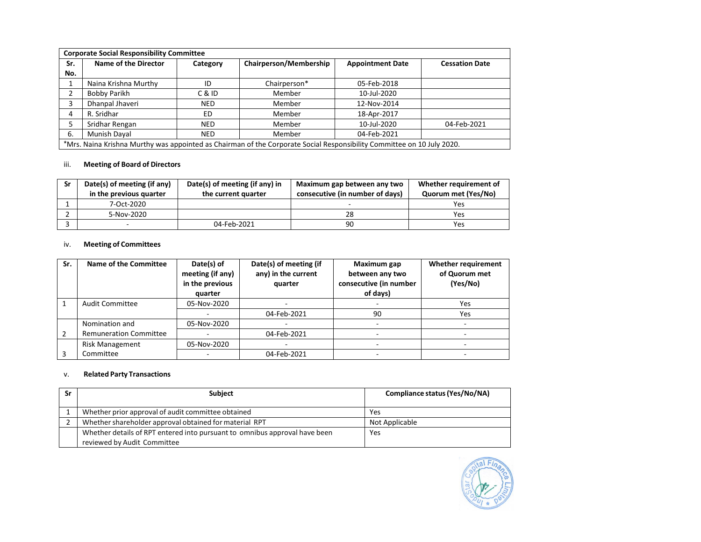|     | <b>Corporate Social Responsibility Committee</b>                                                                       |            |                        |                         |                       |  |
|-----|------------------------------------------------------------------------------------------------------------------------|------------|------------------------|-------------------------|-----------------------|--|
| Sr. | Name of the Director                                                                                                   | Category   | Chairperson/Membership | <b>Appointment Date</b> | <b>Cessation Date</b> |  |
| No. |                                                                                                                        |            |                        |                         |                       |  |
|     | Naina Krishna Murthy                                                                                                   | ID         | Chairperson*           | 05-Feb-2018             |                       |  |
| 2   | Bobby Parikh                                                                                                           | C & ID     | Member                 | 10-Jul-2020             |                       |  |
| 3   | Dhanpal Jhaveri                                                                                                        | <b>NED</b> | Member                 | 12-Nov-2014             |                       |  |
| 4   | R. Sridhar                                                                                                             | ED         | Member                 | 18-Apr-2017             |                       |  |
| 5   | Sridhar Rengan                                                                                                         | <b>NED</b> | Member                 | 10-Jul-2020             | 04-Feb-2021           |  |
| 6.  | Munish Dayal                                                                                                           | <b>NED</b> | Member                 | 04-Feb-2021             |                       |  |
|     | *Mrs. Naina Krishna Murthy was appointed as Chairman of the Corporate Social Responsibility Committee on 10 July 2020. |            |                        |                         |                       |  |

# iii. **Meeting of Board of Directors**

| Sr | Date(s) of meeting (if any)<br>in the previous quarter | Date(s) of meeting (if any) in<br>the current quarter | Maximum gap between any two<br>consecutive (in number of days) | Whether requirement of<br>Quorum met (Yes/No) |
|----|--------------------------------------------------------|-------------------------------------------------------|----------------------------------------------------------------|-----------------------------------------------|
|    | 7-Oct-2020                                             |                                                       | $\overline{\phantom{a}}$                                       | Yes                                           |
|    | 5-Nov-2020                                             |                                                       | 28                                                             | Yes                                           |
|    | $\overline{\phantom{0}}$                               | 04-Feb-2021                                           | 90                                                             | Yes                                           |

# iv. **Meeting of Committees**

| Sr. | Name of the Committee         | Date(s) of<br>meeting (if any)<br>in the previous<br>quarter | Date(s) of meeting (if<br>any) in the current<br>quarter | Maximum gap<br>between any two<br>consecutive (in number<br>of days) | Whether requirement<br>of Quorum met<br>(Yes/No) |
|-----|-------------------------------|--------------------------------------------------------------|----------------------------------------------------------|----------------------------------------------------------------------|--------------------------------------------------|
|     | <b>Audit Committee</b>        | 05-Nov-2020                                                  |                                                          |                                                                      | Yes                                              |
|     |                               |                                                              | 04-Feb-2021                                              | 90                                                                   | Yes                                              |
|     | Nomination and                | 05-Nov-2020                                                  |                                                          |                                                                      |                                                  |
|     | <b>Remuneration Committee</b> |                                                              | 04-Feb-2021                                              |                                                                      |                                                  |
|     | <b>Risk Management</b>        | 05-Nov-2020                                                  |                                                          |                                                                      |                                                  |
|     | Committee                     |                                                              | 04-Feb-2021                                              |                                                                      |                                                  |

# v. **Related Party Transactions**

| Sr | <b>Subject</b>                                                             | Compliance status (Yes/No/NA) |
|----|----------------------------------------------------------------------------|-------------------------------|
|    | Whether prior approval of audit committee obtained                         | Yes                           |
|    | Whether shareholder approval obtained for material RPT                     | Not Applicable                |
|    | Whether details of RPT entered into pursuant to omnibus approval have been | Yes                           |
|    | reviewed by Audit Committee                                                |                               |

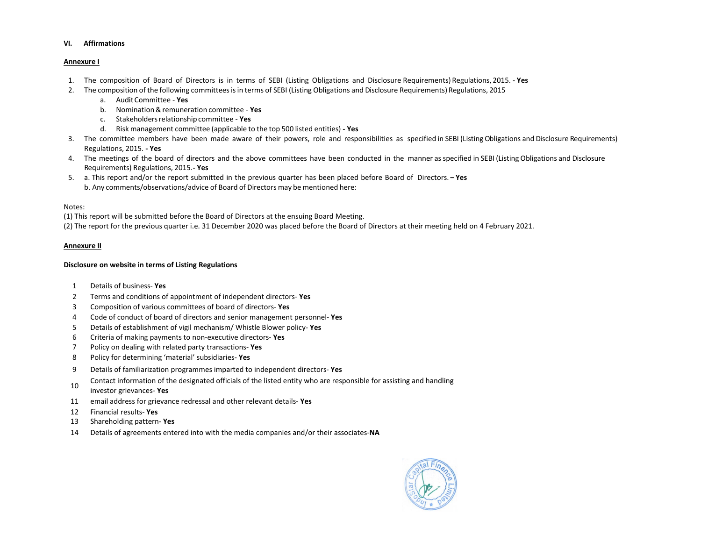#### **VI. Affirmations**

### **Annexure I**

- 1. The composition of Board of Directors is in terms of SEBI (Listing Obligations and Disclosure Requirements) Regulations, 2015. **Yes**
- 2. The composition of the following committeesisin terms of SEBI (Listing Obligations and Disclosure Requirements) Regulations, 2015
	- a. AuditCommittee **Yes**
	- b. Nomination&remuneration committee **Yes**
	- c. Stakeholdersrelationshipcommittee **Yes**
	- d. Risk management committee (applicable to the top 500 listed entities) **- Yes**
- 3. The committee members have been made aware of their powers, role and responsibilities as specified in SEBI (Listing Obligations and Disclosure Requirements) Regulations, 2015. **- Yes**
- 4. The meetings of the board of directors and the above committees have been conducted in the manner asspecified in SEBI (Listing Obligations and Disclosure Requirements) Regulations, 2015.**- Yes**
- 5. a. This report and/or the report submitted in the previous quarter has been placed before Board of Directors. **– Yes** b. Any comments/observations/advice of Board of Directors may be mentioned here:

### Notes:

(1) This report will be submitted before the Board of Directors at the ensuing Board Meeting.

(2) The report for the previous quarter i.e. 31 December 2020 was placed before the Board of Directors at their meeting held on 4 February 2021.

### **Annexure II**

### **Disclosure on website in terms of Listing Regulations**

- 1 Details of business- **Yes**
- 2 Terms and conditions of appointment of independent directors- **Yes**
- 3 Composition of various committees of board of directors- **Yes**
- 4 Code of conduct of board of directors and senior management personnel- **Yes**
- 5 Details of establishment of vigil mechanism/ Whistle Blower policy- **Yes**
- 6 Criteria of making payments to non-executive directors- **Yes**
- 7 Policy on dealing with related party transactions- **Yes**
- 8 Policy for determining 'material' subsidiaries- **Yes**
- 9 Details of familiarization programmes imparted to independent directors- **Yes**
- <sup>10</sup> Contact information of the designated officials of the listed entity who are responsible for assisting and handling
- investor grievances- **Yes**
- 11 email address for grievance redressal and other relevant details- **Yes**
- 12 Financial results- **Yes**
- 13 Shareholding pattern- **Yes**
- 14 Details of agreements entered into with the media companies and/or their associates-**NA**

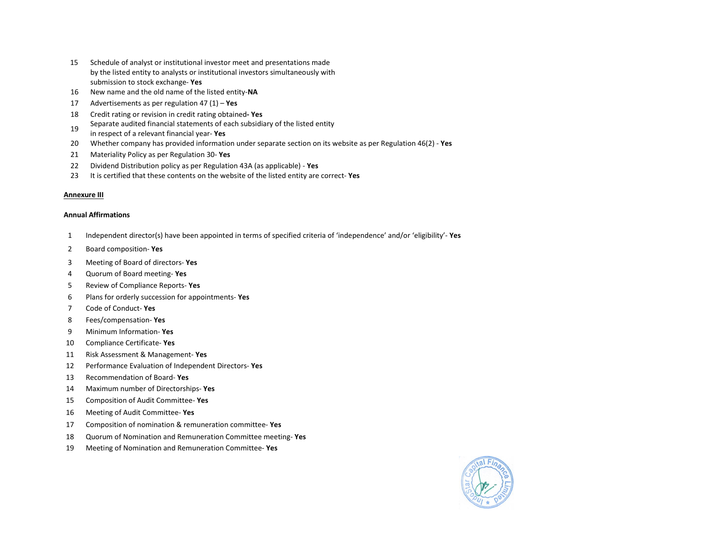- Schedule of analyst or institutional investor meet and presentations made by the listed entity to analysts or institutional investors simultaneously with submission to stock exchange- **Yes**
- New name and the old name of the listed entity-**NA**
- Advertisements as per regulation 47 (1) **Yes**
- Credit rating or revision in credit rating obtained**- Yes**
- 19 Separate audited financial statements of each subsidiary of the listed entity
- in respect of a relevant financial year- **Yes**
- Whether company has provided information under separate section on its website as per Regulation 46(2) **Yes**
- Materiality Policy as per Regulation 30- **Yes**
- Dividend Distribution policy as per Regulation 43A (as applicable) **Yes**
- It is certified that these contents on the website of the listed entity are correct- **Yes**

#### **Annexure III**

#### **Annual Affirmations**

- Independent director(s) have been appointed in terms of specified criteria of 'independence' and/or 'eligibility'- **Yes**
- Board composition- **Yes**
- Meeting of Board of directors- **Yes**
- Quorum of Board meeting- **Yes**
- Review of Compliance Reports- **Yes**
- Plans for orderly succession for appointments- **Yes**
- Code of Conduct- **Yes**
- Fees/compensation- **Yes**
- Minimum Information- **Yes**
- Compliance Certificate- **Yes**
- Risk Assessment & Management- **Yes**
- Performance Evaluation of Independent Directors- **Yes**
- Recommendation of Board- **Yes**
- Maximum number of Directorships- **Yes**
- Composition of Audit Committee- **Yes**
- Meeting of Audit Committee- **Yes**
- Composition of nomination & remuneration committee- **Yes**
- Quorum of Nomination and Remuneration Committee meeting- **Yes**
- Meeting of Nomination and Remuneration Committee- **Yes**